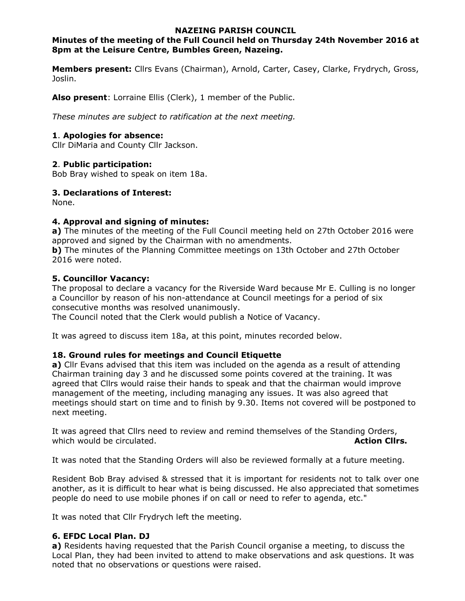#### **NAZEING PARISH COUNCIL**

# **Minutes of the meeting of the Full Council held on Thursday 24th November 2016 at 8pm at the Leisure Centre, Bumbles Green, Nazeing.**

**Members present:** Cllrs Evans (Chairman), Arnold, Carter, Casey, Clarke, Frydrych, Gross, Joslin.

**Also present**: Lorraine Ellis (Clerk), 1 member of the Public.

*These minutes are subject to ratification at the next meeting.*

#### **1**. **Apologies for absence:**

Cllr DiMaria and County Cllr Jackson.

# **2**. **Public participation:**

Bob Bray wished to speak on item 18a.

# **3. Declarations of Interest:**

None.

# **4. Approval and signing of minutes:**

**a)** The minutes of the meeting of the Full Council meeting held on 27th October 2016 were approved and signed by the Chairman with no amendments.

**b)** The minutes of the Planning Committee meetings on 13th October and 27th October 2016 were noted.

#### **5. Councillor Vacancy:**

The proposal to declare a vacancy for the Riverside Ward because Mr E. Culling is no longer a Councillor by reason of his non-attendance at Council meetings for a period of six consecutive months was resolved unanimously.

The Council noted that the Clerk would publish a Notice of Vacancy.

It was agreed to discuss item 18a, at this point, minutes recorded below.

# **18. Ground rules for meetings and Council Etiquette**

**a)** Cllr Evans advised that this item was included on the agenda as a result of attending Chairman training day 3 and he discussed some points covered at the training. It was agreed that Cllrs would raise their hands to speak and that the chairman would improve management of the meeting, including managing any issues. It was also agreed that meetings should start on time and to finish by 9.30. Items not covered will be postponed to next meeting.

It was agreed that Cllrs need to review and remind themselves of the Standing Orders, which would be circulated. **Action Clirs. Action Clirs. Action Clirs.** 

It was noted that the Standing Orders will also be reviewed formally at a future meeting.

Resident Bob Bray advised & stressed that it is important for residents not to talk over one another, as it is difficult to hear what is being discussed. He also appreciated that sometimes people do need to use mobile phones if on call or need to refer to agenda, etc."

It was noted that Cllr Frydrych left the meeting.

# **6. EFDC Local Plan. DJ**

**a)** Residents having requested that the Parish Council organise a meeting, to discuss the Local Plan, they had been invited to attend to make observations and ask questions. It was noted that no observations or questions were raised.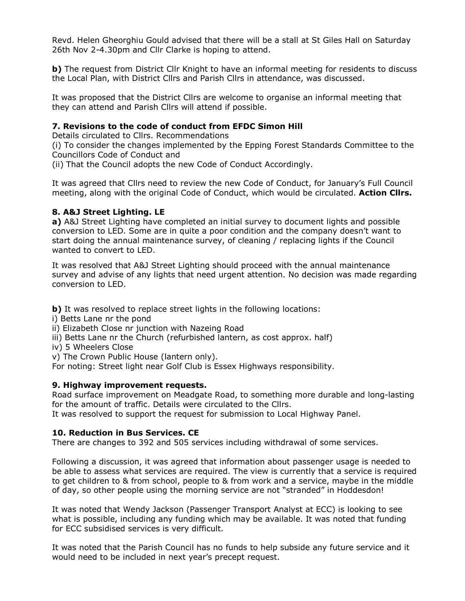Revd. Helen Gheorghiu Gould advised that there will be a stall at St Giles Hall on Saturday 26th Nov 2-4.30pm and Cllr Clarke is hoping to attend.

**b)** The request from District Cllr Knight to have an informal meeting for residents to discuss the Local Plan, with District Cllrs and Parish Cllrs in attendance, was discussed.

It was proposed that the District Cllrs are welcome to organise an informal meeting that they can attend and Parish Cllrs will attend if possible.

#### **7. Revisions to the code of conduct from EFDC Simon Hill**

Details circulated to Cllrs. Recommendations

(i) To consider the changes implemented by the Epping Forest Standards Committee to the Councillors Code of Conduct and

(ii) That the Council adopts the new Code of Conduct Accordingly.

It was agreed that Cllrs need to review the new Code of Conduct, for January's Full Council meeting, along with the original Code of Conduct, which would be circulated. **Action Cllrs.**

#### **8. A&J Street Lighting. LE**

**a)** A&J Street Lighting have completed an initial survey to document lights and possible conversion to LED. Some are in quite a poor condition and the company doesn't want to start doing the annual maintenance survey, of cleaning / replacing lights if the Council wanted to convert to LED.

It was resolved that A&J Street Lighting should proceed with the annual maintenance survey and advise of any lights that need urgent attention. No decision was made regarding conversion to LED.

**b)** It was resolved to replace street lights in the following locations:

i) Betts Lane nr the pond

ii) Elizabeth Close nr junction with Nazeing Road

- iii) Betts Lane nr the Church (refurbished lantern, as cost approx. half)
- iv) 5 Wheelers Close
- v) The Crown Public House (lantern only).

For noting: Street light near Golf Club is Essex Highways responsibility.

# **9. Highway improvement requests.**

Road surface improvement on Meadgate Road, to something more durable and long-lasting for the amount of traffic. Details were circulated to the Cllrs.

It was resolved to support the request for submission to Local Highway Panel.

# **10. Reduction in Bus Services. CE**

There are changes to 392 and 505 services including withdrawal of some services.

Following a discussion, it was agreed that information about passenger usage is needed to be able to assess what services are required. The view is currently that a service is required to get children to & from school, people to & from work and a service, maybe in the middle of day, so other people using the morning service are not "stranded" in Hoddesdon!

It was noted that Wendy Jackson (Passenger Transport Analyst at ECC) is looking to see what is possible, including any funding which may be available. It was noted that funding for ECC subsidised services is very difficult.

It was noted that the Parish Council has no funds to help subside any future service and it would need to be included in next year's precept request.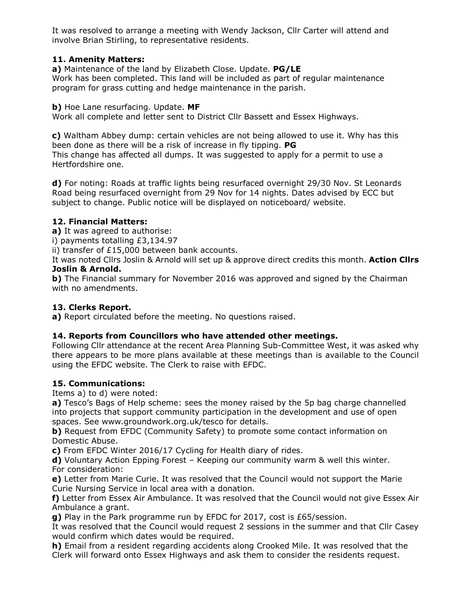It was resolved to arrange a meeting with Wendy Jackson, Cllr Carter will attend and involve Brian Stirling, to representative residents.

# **11. Amenity Matters:**

**a)** Maintenance of the land by Elizabeth Close. Update. **PG/LE**  Work has been completed. This land will be included as part of regular maintenance program for grass cutting and hedge maintenance in the parish.

**b)** Hoe Lane resurfacing. Update. **MF** 

Work all complete and letter sent to District Cllr Bassett and Essex Highways.

**c)** Waltham Abbey dump: certain vehicles are not being allowed to use it. Why has this been done as there will be a risk of increase in fly tipping. **PG**  This change has affected all dumps. It was suggested to apply for a permit to use a Hertfordshire one.

**d)** For noting: Roads at traffic lights being resurfaced overnight 29/30 Nov. St Leonards Road being resurfaced overnight from 29 Nov for 14 nights. Dates advised by ECC but subject to change. Public notice will be displayed on noticeboard/ website.

# **12. Financial Matters:**

**a)** It was agreed to authorise:

i) payments totalling £3,134.97

ii) transfer of £15,000 between bank accounts.

It was noted Cllrs Joslin & Arnold will set up & approve direct credits this month. **Action Cllrs Joslin & Arnold.**

**b)** The Financial summary for November 2016 was approved and signed by the Chairman with no amendments.

# **13. Clerks Report.**

**a)** Report circulated before the meeting. No questions raised.

# **14. Reports from Councillors who have attended other meetings.**

Following Cllr attendance at the recent Area Planning Sub-Committee West, it was asked why there appears to be more plans available at these meetings than is available to the Council using the EFDC website. The Clerk to raise with EFDC.

# **15. Communications:**

Items a) to d) were noted:

**a)** Tesco's Bags of Help scheme: sees the money raised by the 5p bag charge channelled into projects that support community participation in the development and use of open spaces. See www.groundwork.org.uk/tesco for details.

**b)** Request from EFDC (Community Safety) to promote some contact information on Domestic Abuse.

**c)** From EFDC Winter 2016/17 Cycling for Health diary of rides.

**d)** Voluntary Action Epping Forest – Keeping our community warm & well this winter. For consideration:

**e)** Letter from Marie Curie. It was resolved that the Council would not support the Marie Curie Nursing Service in local area with a donation.

**f)** Letter from Essex Air Ambulance. It was resolved that the Council would not give Essex Air Ambulance a grant.

**g)** Play in the Park programme run by EFDC for 2017, cost is £65/session.

It was resolved that the Council would request 2 sessions in the summer and that Cllr Casey would confirm which dates would be required.

**h)** Email from a resident regarding accidents along Crooked Mile. It was resolved that the Clerk will forward onto Essex Highways and ask them to consider the residents request.